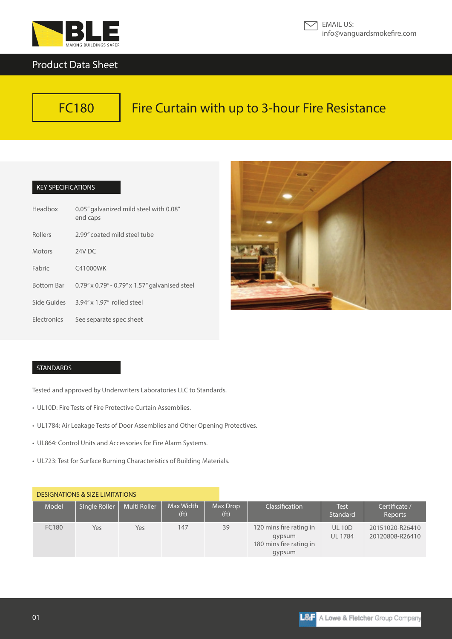

# Product Data Sheet



# Fire Curtain with up to 3-hour Fire Resistance

## KEY SPECIFICATIONS

| Headbox           | 0.05" galvanized mild steel with 0.08"<br>end caps |
|-------------------|----------------------------------------------------|
| <b>Rollers</b>    | 2.99" coated mild steel tube                       |
| <b>Motors</b>     | 24V DC                                             |
| Fabric            | C41000WK                                           |
| <b>Bottom Bar</b> | 0.79" x 0.79" - 0.79" x 1.57" galvanised steel     |
| Side Guides       | $3.94'' \times 1.97''$ rolled steel                |
| Electronics       | See separate spec sheet                            |



#### STANDARDS

Tested and approved by Underwriters Laboratories LLC to Standards.

- UL10D: Fire Tests of Fire Protective Curtain Assemblies.
- UL1784: Air Leakage Tests of Door Assemblies and Other Opening Protectives.
- UL864: Control Units and Accessories for Fire Alarm Systems.
- UL723: Test for Surface Burning Characteristics of Building Materials.

# DESIGNATIONS & SIZE LIMITATIONS

| Model | Single Roller | Multi Roller | Max Width<br>(f <sup>t</sup> ) | Max Drop<br>(f <sup>t</sup> ) | Classification                                                         | <b>Test</b><br>Standard       | Certificate /<br>Reports           |
|-------|---------------|--------------|--------------------------------|-------------------------------|------------------------------------------------------------------------|-------------------------------|------------------------------------|
| FC180 | Yes           | Yes          | 147                            | 39                            | 120 mins fire rating in<br>gypsum<br>180 mins fire rating in<br>gypsum | <b>UL10D</b><br><b>UL1784</b> | 20151020-R26410<br>20120808-R26410 |